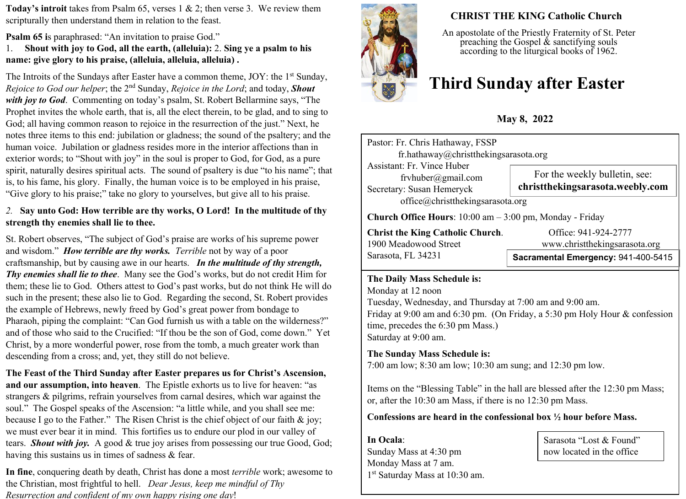**Today's introit** takes from Psalm 65, verses 1 & 2; then verse 3. We review them scripturally then understand them in relation to the feast.

**Psalm 65 is paraphrased: "An invitation to praise God."** 

1. **Shout with joy to God, all the earth, (alleluia):** 2. **Sing ye a psalm to his name: give glory to his praise, (alleluia, alleluia, alleluia) .** 

The Introits of the Sundays after Easter have a common theme,  $JOY$ : the 1<sup>st</sup> Sunday, *Rejoice to God our helper*; the 2nd Sunday, *Rejoice in the Lord*; and today, *Shout with joy to God*. Commenting on today's psalm, St. Robert Bellarmine says, "The Prophet invites the whole earth, that is, all the elect therein, to be glad, and to sing to God; all having common reason to rejoice in the resurrection of the just." Next, he notes three items to this end: jubilation or gladness; the sound of the psaltery; and the human voice. Jubilation or gladness resides more in the interior affections than in exterior words; to "Shout with joy" in the soul is proper to God, for God, as a pure spirit, naturally desires spiritual acts. The sound of psaltery is due "to his name"; that is, to his fame, his glory. Finally, the human voice is to be employed in his praise, "Give glory to his praise;" take no glory to yourselves, but give all to his praise.

#### *2.* **Say unto God: How terrible are thy works, O Lord! In the multitude of thy strength thy enemies shall lie to thee.**

St. Robert observes, "The subject of God's praise are works of his supreme power and wisdom." *How terrible are thy works. Terrible* not by way of a poor craftsmanship, but by causing awe in our hearts. *In the multitude of thy strength, Thy enemies shall lie to thee*. Many see the God's works, but do not credit Him for them; these lie to God. Others attest to God's past works, but do not think He will do such in the present; these also lie to God. Regarding the second, St. Robert provides the example of Hebrews, newly freed by God's great power from bondage to Pharaoh, piping the complaint: "Can God furnish us with a table on the wilderness?" and of those who said to the Crucified: "If thou be the son of God, come down." Yet Christ, by a more wonderful power, rose from the tomb, a much greater work than descending from a cross; and, yet, they still do not believe.

**The Feast of the Third Sunday after Easter prepares us for Christ's Ascension, and our assumption, into heaven**.The Epistle exhorts us to live for heaven: "as strangers & pilgrims, refrain yourselves from carnal desires, which war against the soul." The Gospel speaks of the Ascension: "a little while, and you shall see me: because I go to the Father." The Risen Christ is the chief object of our faith  $\&$  joy; we must ever bear it in mind. This fortifies us to endure our plod in our valley of tears. *Shout with joy.* A good & true joy arises from possessing our true Good, God; having this sustains us in times of sadness & fear.

**In fine**, conquering death by death, Christ has done a most *terrible* work; awesome to the Christian, most frightful to hell. *Dear Jesus, keep me mindful of Thy Resurrection and confident of my own happy rising one day*!



## **CHRIST THE KING Catholic Church**

An apostolate of the Priestly Fraternity of St. Peter preaching the Gospel  $\&$  sanctifying souls according to the liturgical books of 1962.

# **Third Sunday after Easter**

**May 8, 2022**

| Pastor: Fr. Chris Hathaway, FSSP<br>fr.hathaway@christthekingsarasota.org     |                                                                   |  |  |  |
|-------------------------------------------------------------------------------|-------------------------------------------------------------------|--|--|--|
| Assistant: Fr. Vince Huber<br>frvhuber@gmail.com<br>Secretary: Susan Hemeryck | For the weekly bulletin, see:<br>christthekingsarasota.weebly.com |  |  |  |
| office@christthekingsarasota.org                                              |                                                                   |  |  |  |
| <b>Church Office Hours:</b> $10:00$ am $-3:00$ pm, Monday - Friday            |                                                                   |  |  |  |
| <b>Christ the King Catholic Church.</b><br>$\cdots$                           | Office: 941-924-2777<br>.                                         |  |  |  |

Sarasota, FL 34231

1900 Meadowood Street www.christthekingsarasota.org

## **Sacramental Emergency:** 941-400-5415

#### **The Daily Mass Schedule is:**

Monday at 12 noon Tuesday, Wednesday, and Thursday at 7:00 am and 9:00 am. Friday at 9:00 am and 6:30 pm. (On Friday, a 5:30 pm Holy Hour & confession time, precedes the 6:30 pm Mass.) Saturday at 9:00 am.

### **The Sunday Mass Schedule is:**

7:00 am low; 8:30 am low; 10:30 am sung; and 12:30 pm low.

Items on the "Blessing Table" in the hall are blessed after the 12:30 pm Mass; or, after the 10:30 am Mass, if there is no 12:30 pm Mass.

#### **Confessions are heard in the confessional box ½ hour before Mass.**

**In Ocala**: Sunday Mass at 4:30 pm Monday Mass at 7 am. 1 st Saturday Mass at 10:30 am.

Sarasota "Lost & Found" now located in the office